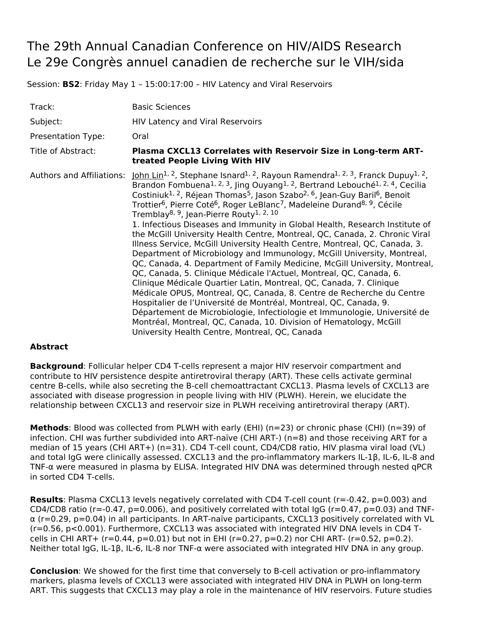## The 29th Annual Canadian Conference on HIV/AIDS Research Le 29e Congrès annuel canadien de recherche sur le VIH/sida

Session: **BS2**: Friday May 1 – 15:00:17:00 – HIV Latency and Viral Reservoirs

| Track:                    | <b>Basic Sciences</b>                                                                                                                                                                                                                                                                                                                                                                                                                                                                                                                                                                                                                                                                                                                                                                                                                                                                                                                                                                                                                                                                                                                                                                                                                                                                                                                                                                                                                                                                        |
|---------------------------|----------------------------------------------------------------------------------------------------------------------------------------------------------------------------------------------------------------------------------------------------------------------------------------------------------------------------------------------------------------------------------------------------------------------------------------------------------------------------------------------------------------------------------------------------------------------------------------------------------------------------------------------------------------------------------------------------------------------------------------------------------------------------------------------------------------------------------------------------------------------------------------------------------------------------------------------------------------------------------------------------------------------------------------------------------------------------------------------------------------------------------------------------------------------------------------------------------------------------------------------------------------------------------------------------------------------------------------------------------------------------------------------------------------------------------------------------------------------------------------------|
| Subject:                  | <b>HIV Latency and Viral Reservoirs</b>                                                                                                                                                                                                                                                                                                                                                                                                                                                                                                                                                                                                                                                                                                                                                                                                                                                                                                                                                                                                                                                                                                                                                                                                                                                                                                                                                                                                                                                      |
| Presentation Type:        | Oral                                                                                                                                                                                                                                                                                                                                                                                                                                                                                                                                                                                                                                                                                                                                                                                                                                                                                                                                                                                                                                                                                                                                                                                                                                                                                                                                                                                                                                                                                         |
| Title of Abstract:        | Plasma CXCL13 Correlates with Reservoir Size in Long-term ART-<br>treated People Living With HIV                                                                                                                                                                                                                                                                                                                                                                                                                                                                                                                                                                                                                                                                                                                                                                                                                                                                                                                                                                                                                                                                                                                                                                                                                                                                                                                                                                                             |
| Authors and Affiliations: | John Lin <sup>1, 2</sup> , Stephane Isnard <sup>1, 2</sup> , Rayoun Ramendra <sup>1, 2, 3</sup> , Franck Dupuy <sup>1, 2</sup> ,<br>Brandon Fombuena <sup>1, 2, 3</sup> , Jing Ouyang <sup>1, 2</sup> , Bertrand Lebouché <sup>1, 2, 4</sup> , Cecilia<br>Costiniuk <sup>1, 2</sup> , Réjean Thomas <sup>5</sup> , Jason Szabo <sup>2, 6</sup> , Jean-Guy Baril <sup>6</sup> , Benoit<br>Trottier <sup>6</sup> , Pierre Coté <sup>6</sup> , Roger LeBlanc <sup>7</sup> , Madeleine Durand <sup>8, 9</sup> , Cécile<br>Tremblay <sup>8, 9</sup> , Jean-Pierre Routy <sup>1, 2, 10</sup><br>1. Infectious Diseases and Immunity in Global Health, Research Institute of<br>the McGill University Health Centre, Montreal, QC, Canada, 2. Chronic Viral<br>Illness Service, McGill University Health Centre, Montreal, QC, Canada, 3.<br>Department of Microbiology and Immunology, McGill University, Montreal,<br>QC, Canada, 4. Department of Family Medicine, McGill University, Montreal,<br>QC, Canada, 5. Clinique Médicale l'Actuel, Montreal, QC, Canada, 6.<br>Clinique Médicale Quartier Latin, Montreal, QC, Canada, 7. Clinique<br>Médicale OPUS, Montreal, QC, Canada, 8. Centre de Recherche du Centre<br>Hospitalier de l'Université de Montréal, Montreal, QC, Canada, 9.<br>Département de Microbiologie, Infectiologie et Immunologie, Université de<br>Montréal, Montreal, QC, Canada, 10. Division of Hematology, McGill<br>University Health Centre, Montreal, QC, Canada |

## **Abstract**

**Background**: Follicular helper CD4 T-cells represent a major HIV reservoir compartment and contribute to HIV persistence despite antiretroviral therapy (ART). These cells activate germinal centre B-cells, while also secreting the B-cell chemoattractant CXCL13. Plasma levels of CXCL13 are associated with disease progression in people living with HIV (PLWH). Herein, we elucidate the relationship between CXCL13 and reservoir size in PLWH receiving antiretroviral therapy (ART).

**Methods**: Blood was collected from PLWH with early (EHI) (n=23) or chronic phase (CHI) (n=39) of infection. CHI was further subdivided into ART-naïve (CHI ART-) (n=8) and those receiving ART for a median of 15 years (CHI ART+) (n=31). CD4 T-cell count, CD4/CD8 ratio, HIV plasma viral load (VL) and total IgG were clinically assessed. CXCL13 and the pro-inflammatory markers IL-1β, IL-6, IL-8 and TNF-α were measured in plasma by ELISA. Integrated HIV DNA was determined through nested qPCR in sorted CD4 T-cells.

**Results**: Plasma CXCL13 levels negatively correlated with CD4 T-cell count (r=-0.42, p=0.003) and CD4/CD8 ratio (r=-0.47, p=0.006), and positively correlated with total IgG (r=0.47, p=0.03) and TNF- $\alpha$  (r=0.29, p=0.04) in all participants. In ART-naïve participants, CXCL13 positively correlated with VL (r=0.56, p<0.001). Furthermore, CXCL13 was associated with integrated HIV DNA levels in CD4 Tcells in CHI ART+ ( $r=0.44$ ,  $p=0.01$ ) but not in EHI ( $r=0.27$ ,  $p=0.2$ ) nor CHI ART- ( $r=0.52$ ,  $p=0.2$ ). Neither total IgG, IL-1β, IL-6, IL-8 nor TNF-α were associated with integrated HIV DNA in any group.

**Conclusion**: We showed for the first time that conversely to B-cell activation or pro-inflammatory markers, plasma levels of CXCL13 were associated with integrated HIV DNA in PLWH on long-term ART. This suggests that CXCL13 may play a role in the maintenance of HIV reservoirs. Future studies